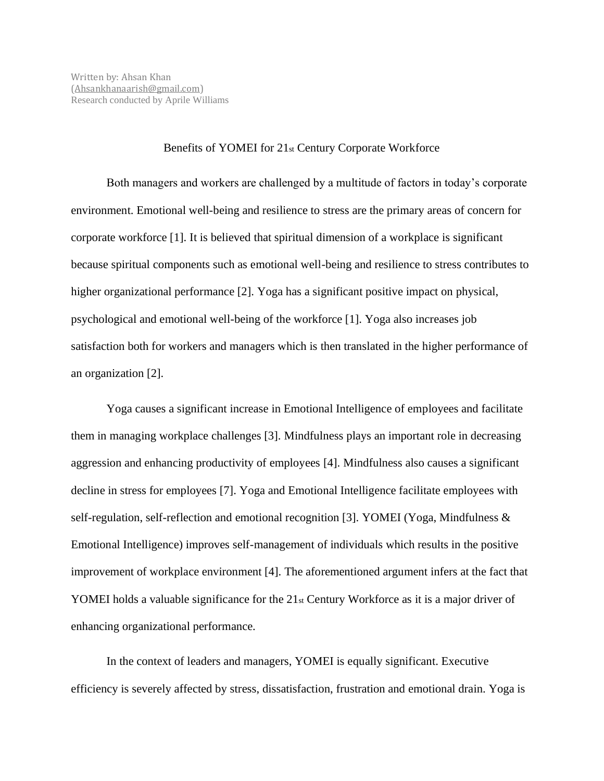## Benefits of YOMEI for 21st Century Corporate Workforce

Both managers and workers are challenged by a multitude of factors in today's corporate environment. Emotional well-being and resilience to stress are the primary areas of concern for corporate workforce [1]. It is believed that spiritual dimension of a workplace is significant because spiritual components such as emotional well-being and resilience to stress contributes to higher organizational performance [2]. Yoga has a significant positive impact on physical, psychological and emotional well-being of the workforce [1]. Yoga also increases job satisfaction both for workers and managers which is then translated in the higher performance of an organization [2].

Yoga causes a significant increase in Emotional Intelligence of employees and facilitate them in managing workplace challenges [3]. Mindfulness plays an important role in decreasing aggression and enhancing productivity of employees [4]. Mindfulness also causes a significant decline in stress for employees [7]. Yoga and Emotional Intelligence facilitate employees with self-regulation, self-reflection and emotional recognition [3]. YOMEI (Yoga, Mindfulness & Emotional Intelligence) improves self-management of individuals which results in the positive improvement of workplace environment [4]. The aforementioned argument infers at the fact that YOMEI holds a valuable significance for the 21<sub>st</sub> Century Workforce as it is a major driver of enhancing organizational performance.

In the context of leaders and managers, YOMEI is equally significant. Executive efficiency is severely affected by stress, dissatisfaction, frustration and emotional drain. Yoga is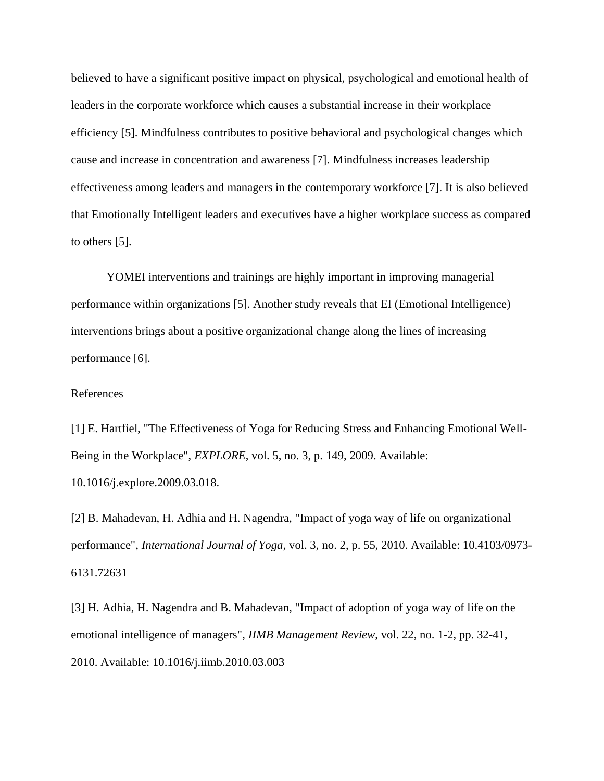believed to have a significant positive impact on physical, psychological and emotional health of leaders in the corporate workforce which causes a substantial increase in their workplace efficiency [5]. Mindfulness contributes to positive behavioral and psychological changes which cause and increase in concentration and awareness [7]. Mindfulness increases leadership effectiveness among leaders and managers in the contemporary workforce [7]. It is also believed that Emotionally Intelligent leaders and executives have a higher workplace success as compared to others [5].

YOMEI interventions and trainings are highly important in improving managerial performance within organizations [5]. Another study reveals that EI (Emotional Intelligence) interventions brings about a positive organizational change along the lines of increasing performance [6].

## References

[1] E. Hartfiel, "The Effectiveness of Yoga for Reducing Stress and Enhancing Emotional Well-Being in the Workplace", *EXPLORE*, vol. 5, no. 3, p. 149, 2009. Available: 10.1016/j.explore.2009.03.018.

[2] B. Mahadevan, H. Adhia and H. Nagendra, "Impact of yoga way of life on organizational performance", *International Journal of Yoga*, vol. 3, no. 2, p. 55, 2010. Available: 10.4103/0973- 6131.72631

[3] H. Adhia, H. Nagendra and B. Mahadevan, "Impact of adoption of yoga way of life on the emotional intelligence of managers", *IIMB Management Review*, vol. 22, no. 1-2, pp. 32-41, 2010. Available: 10.1016/j.iimb.2010.03.003